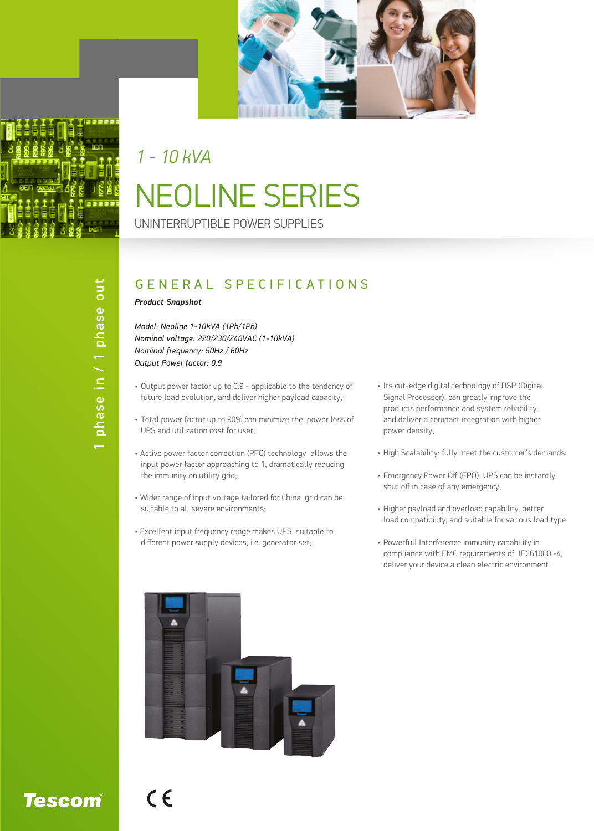

# NEOLINE SERIES *1 - 10 kVA*

UNINTERRUPTIBLE POWER SUPPLIES

# phase in / 1 phase out 1 phase in / 1 phase out

## GENERAL SPECIFICATIONS

#### *Product Snapshot*

*Model: Neoline 1-10kVA (1Ph/1Ph) Nominal voltage: 220/230/240VAC (1-10kVA) Nominal frequency: 50Hz / 60Hz Output Power factor: 0.9*

- Output power factor up to 0.9 applicable to the tendency of future load evolution, and deliver higher payload capacity;
- Total power factor up to 90% can minimize the power loss of UPS and utilization cost for user;
- Active power factor correction (PFC) technology allows the input power factor approaching to 1, dramatically reducing the immunity on utility grid;
- Wider range of input voltage tailored for China grid can be suitable to all severe environments;
- Excellent input frequency range makes UPS suitable to different power supply devices, i.e. generator set;
- Its cut-edge digital technology of DSP (Digital Signal Processor), can greatly improve the products performance and system reliability, and deliver a compact integration with higher power density;
- High Scalability: fully meet the customer's demands;
- Emergency Power Off (EPO): UPS can be instantly shut off in case of any emergency;
- Higher payload and overload capability, better load compatibility, and suitable for various load type
- Powerfull Interference immunity capability in compliance with EMC requirements of IEC61000 -4, deliver your device a clean electric environment.



**Tescom**®

 $C \in$